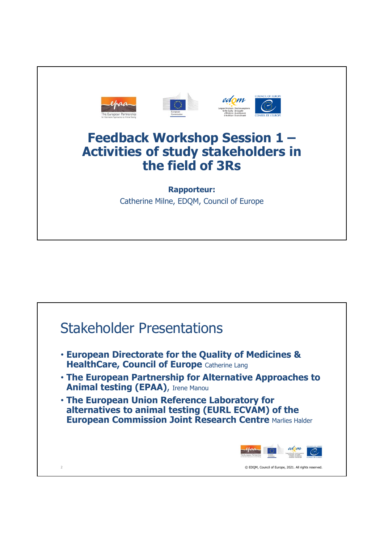

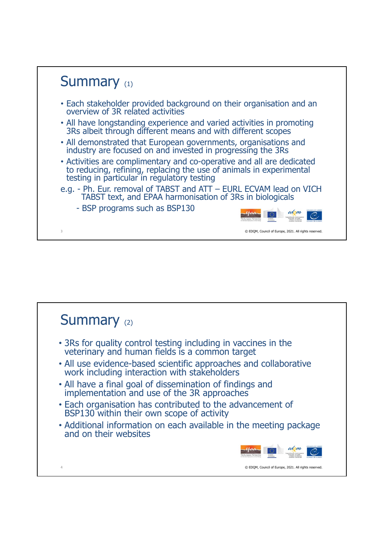

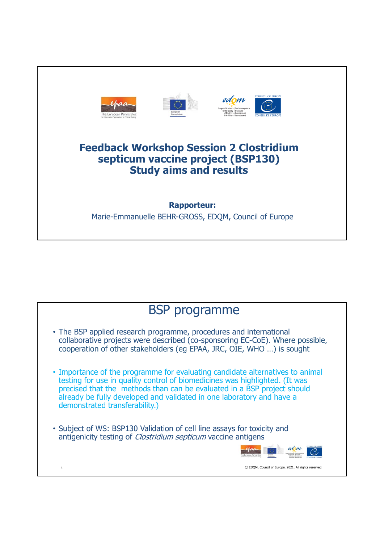

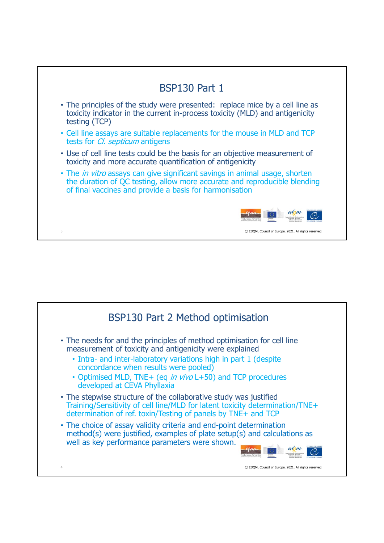

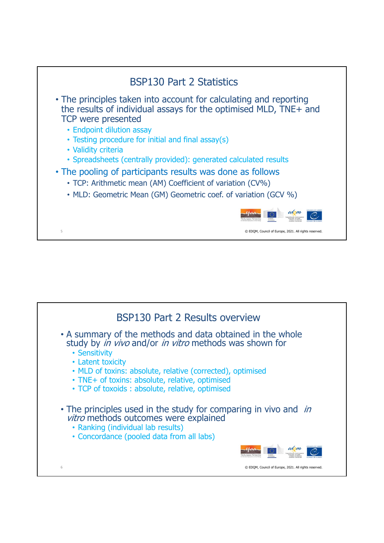

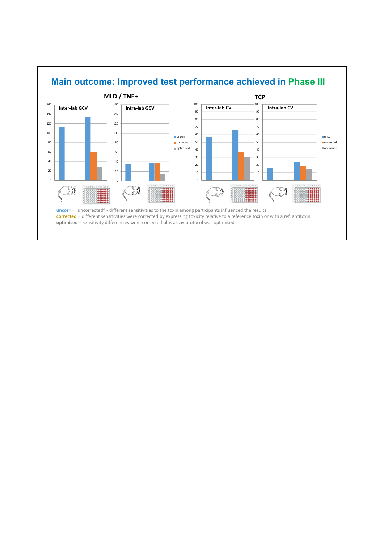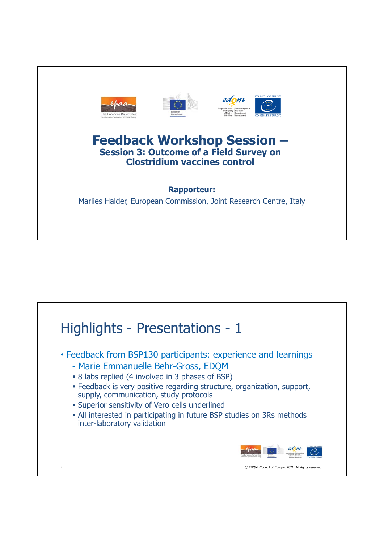

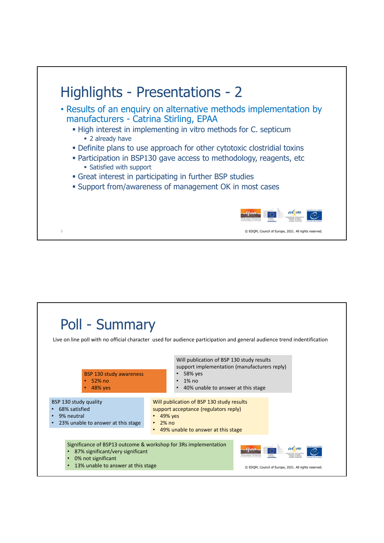

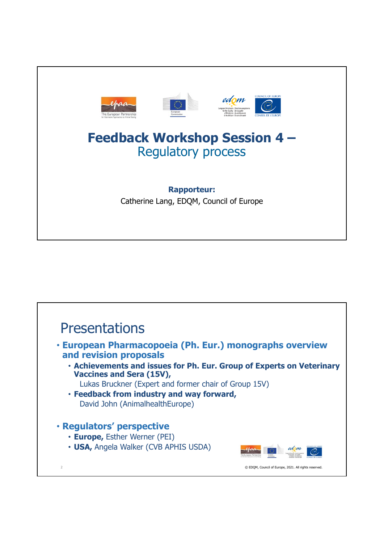

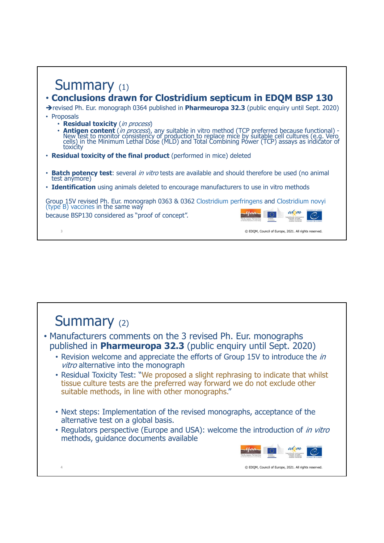## Summary (1) • **Conclusions drawn for Clostridium septicum in EDQM BSP 130**  revised Ph. Eur. monograph 0364 published in **Pharmeuropa 32.3** (public enquiry until Sept. 2020) • Proposals

- **Residual toxicity** (in process)
- **Antigen content** (*in process*), any suitable in vitro method (TCP preferred because functional) -<br>New test to monitor consistency of production to replace mice by suitable cell cultures (e.g. Vero<br>cells) in the Minimum L
- **Residual toxicity of the final product** (performed in mice) deleted
- **Batch potency test**: several *in vitro* tests are available and should therefore be used (no animal test anymore)
- **Identification** using animals deleted to encourage manufacturers to use in vitro methods

Group 15V revised Ph. Eur. monograph 0363 & 0362 Clostridium perfringens and Clostridium novyi<br>(type B) vaccines in the same way

because BSP130 considered as "proof of concept".



3 © EDQM, Council of Europe, 2021. All rights reserved.

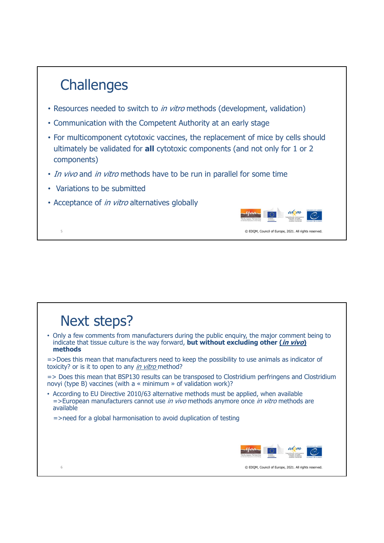## **Challenges** • Resources needed to switch to *in vitro* methods (development, validation) • Communication with the Competent Authority at an early stage • For multicomponent cytotoxic vaccines, the replacement of mice by cells should ultimately be validated for **all** cytotoxic components (and not only for 1 or 2 components) • In vivo and in vitro methods have to be run in parallel for some time • Variations to be submitted • Acceptance of *in vitro* alternatives globally edom 5 © EDQM, Council of Europe, 2021. All rights reserved.

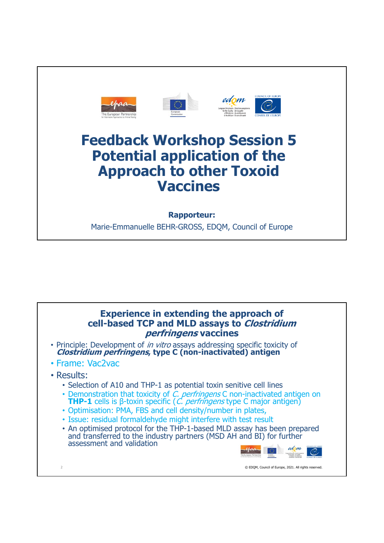

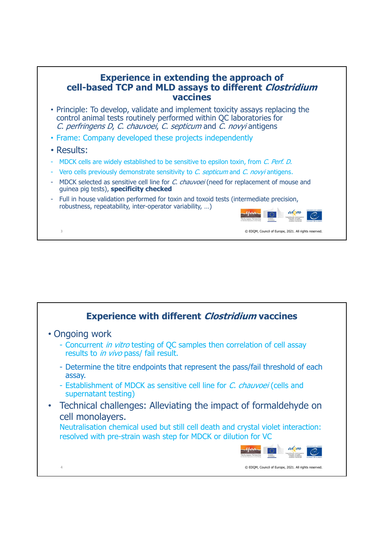## **Experience in extending the approach of cell-based TCP and MLD assays to different Clostridium vaccines**

- Principle: To develop, validate and implement toxicity assays replacing the control animal tests routinely performed within QC laboratories for C. perfringens D, C. chauvoei, C. septicum and C. novyi antigens
- Frame: Company developed these projects independently
- Results:
- MDCK cells are widely established to be sensitive to epsilon toxin, from C. Perf. D.
- Vero cells previously demonstrate sensitivity to C. septicum and C. novyi antigens.
- MDCK selected as sensitive cell line for C. chauvoei (need for replacement of mouse and guinea pig tests), **specificity checked**
- Full in house validation performed for toxin and toxoid tests (intermediate precision, robustness, repeatability, inter-operator variability, …)



3 © EDQM, Council of Europe, 2021. All rights reserved.